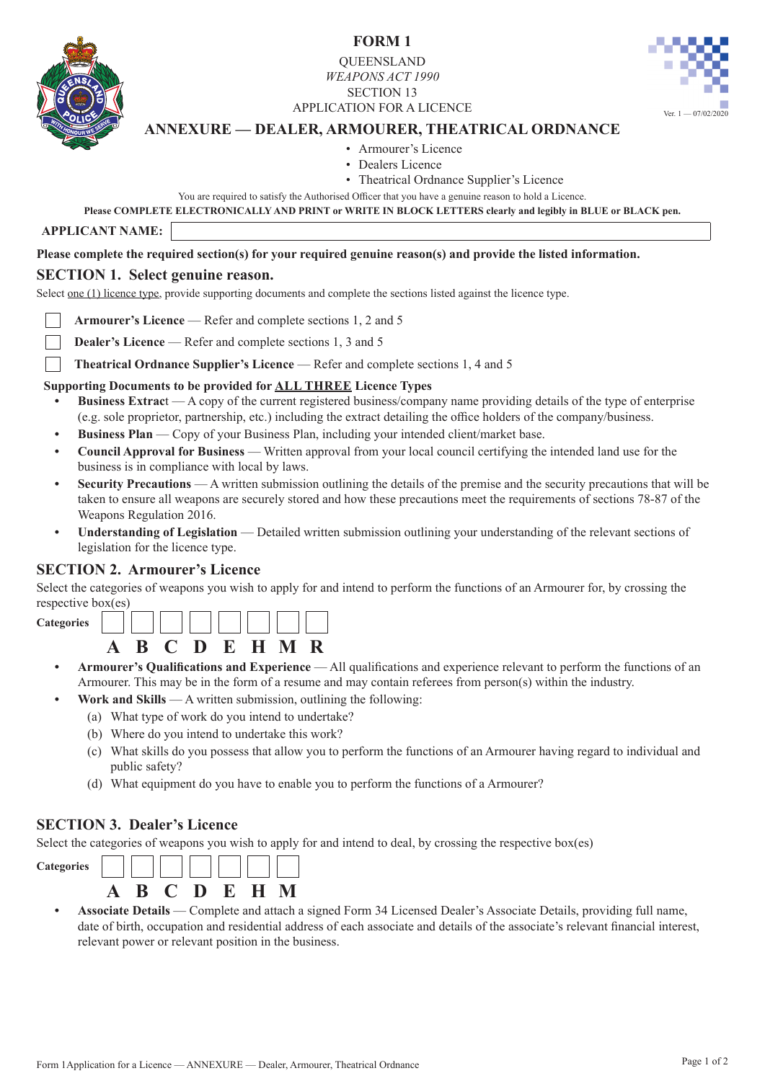

**FORM 1**

**OUEENSLAND** *WEAPONS ACT 1990* SECTION 13 APPLICATION FOR A LICENCE



# **ANNEXURE — DEALER, ARMOURER, THEATRICAL ORDNANCE**

• Armourer's Licence

- Dealers Licence
- Theatrical Ordnance Supplier's Licence
- You are required to satisfy the Authorised Officer that you have a genuine reason to hold a Licence.

**Please COMPLETE ELECTRONICALLY AND PRINT or WRITE IN BLOCK LETTERS clearly and legibly in BLUE or BLACK pen.**

**APPLICANT NAME:**

#### **Please complete the required section(s) for your required genuine reason(s) and provide the listed information.**

### **SECTION 1. Select genuine reason.**

Select one (1) licence type, provide supporting documents and complete the sections listed against the licence type.

**Armourer's Licence** — Refer and complete sections 1, 2 and 5

- **Dealer's Licence** Refer and complete sections 1, 3 and 5
- **Theatrical Ordnance Supplier's Licence** Refer and complete sections 1, 4 and 5

### **Supporting Documents to be provided for ALL THREE Licence Types**

- **• Business Extrac**t A copy of the current registered business/company name providing details of the type of enterprise (e.g. sole proprietor, partnership, etc.) including the extract detailing the office holders of the company/business.
- **• Business Plan** Copy of your Business Plan, including your intended client/market base.
- **• Council Approval for Business** Written approval from your local council certifying the intended land use for the business is in compliance with local by laws.
- **• Security Precautions** A written submission outlining the details of the premise and the security precautions that will be taken to ensure all weapons are securely stored and how these precautions meet the requirements of sections 78-87 of the Weapons Regulation 2016.
- **• Understanding of Legislation**  Detailed written submission outlining your understanding of the relevant sections of legislation for the licence type.

### **SECTION 2. Armourer's Licence**

Select the categories of weapons you wish to apply for and intend to perform the functions of an Armourer for, by crossing the respective box(es)

**Categories**



- **• Armourer's Qualifications and Experience** All qualifications and experience relevant to perform the functions of an Armourer. This may be in the form of a resume and may contain referees from person(s) within the industry.
	- **• Work and Skills** A written submission, outlining the following:
		- (a) What type of work do you intend to undertake?
		- (b) Where do you intend to undertake this work?
		- (c) What skills do you possess that allow you to perform the functions of an Armourer having regard to individual and public safety?
		- (d) What equipment do you have to enable you to perform the functions of a Armourer?

## **SECTION 3. Dealer's Licence**

Select the categories of weapons you wish to apply for and intend to deal, by crossing the respective box(es)



**• Associate Details** — Complete and attach a signed Form 34 Licensed Dealer's Associate Details, providing full name, date of birth, occupation and residential address of each associate and details of the associate's relevant financial interest, relevant power or relevant position in the business.